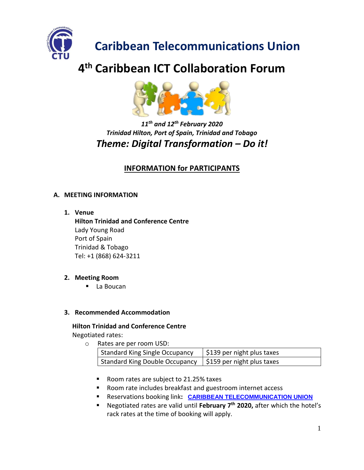

# **Caribbean Telecommunications Union**

# **4 th Caribbean ICT Collaboration Forum**



# *11th and 12th February 2020 Trinidad Hilton, Port of Spain, Trinidad and Tobago Theme: Digital Transformation – Do it!*

# **INFORMATION for PARTICIPANTS**

# **A. MEETING INFORMATION**

**1. Venue**

Tel: +1 (868) 624-3211 **Hilton Trinidad and Conference Centre** Lady Young Road Port of Spain Trinidad & Tobago

# **2. Meeting Room**

■ La Boucan

# **3. Recommended Accommodation**

- **Hilton Trinidad and Conference Centre** Negotiated rates:
	- o Rates are per room USD:

| Rates are per room osp.                                                 |                            |  |
|-------------------------------------------------------------------------|----------------------------|--|
| <b>Standard King Single Occupancy</b>                                   | \$139 per night plus taxes |  |
| Standard King Double Occupancy $\frac{1}{2}$ \$159 per night plus taxes |                            |  |

- Room rates are subject to 21.25% taxes
- Room rate includes breakfast and guestroom internet access
- Reservations booking link**: [CARIBBEAN TELECOMMUNICATION UNION](https://nam02.safelinks.protection.outlook.com/?url=https%3A%2F%2Fsecure3.hilton.com%2Fen_US%2Fhi%2Freservation%2Fbook.htm%3FinputModule%3DHOTEL%26ctyhocn%3DPOSHIHH%26spec_plan%3DCATEU%26arrival%3D20200210%26departure%3D20200213%26cid%3DOM%2CWW%2CHILTONLINK%2CEN%2CDirectLink%26fromId%3DHILTONLINKDIRECT&data=02%7C01%7CKelly.Wahid%40hilton.com%7C9eea6d7095824e8d2c2308d7a36d206f%7C660292d2cfd54a3db7a7e8f7ee458a0a%7C0%7C0%7C637157561402270162&sdata=8K2FB8zOE7bNO07q9Dc8dmRx%2BTNSiChYEXCqc5oK2fs%3D&reserved=0)**
- Negotiated rates are valid until **February 7 th 2020,** after which the hotel's rack rates at the time of booking will apply.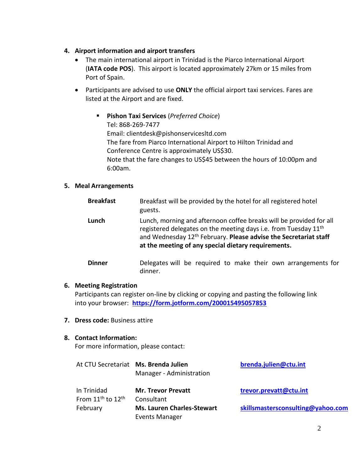### **4. Airport information and airport transfers**

- The main international airport in Trinidad is the Piarco International Airport (**IATA code POS**). This airport is located approximately 27km or 15 miles from Port of Spain.
- Participants are advised to use **ONLY** the official airport taxi services. Fares are listed at the Airport and are fixed.
	- **Pishon Taxi Services** (*Preferred Choice*) Tel: 868-269-7477 Email: clientdesk@pishonservicesltd.com The fare from Piarco International Airport to Hilton Trinidad and Conference Centre is approximately US\$30. Note that the fare changes to US\$45 between the hours of 10:00pm and 6:00am.

#### **5. Meal Arrangements**

| <b>Breakfast</b> | Breakfast will be provided by the hotel for all registered hotel<br>guests.                                                                                                                                                                                                               |
|------------------|-------------------------------------------------------------------------------------------------------------------------------------------------------------------------------------------------------------------------------------------------------------------------------------------|
| Lunch            | Lunch, morning and afternoon coffee breaks will be provided for all<br>registered delegates on the meeting days i.e. from Tuesday 11 <sup>th</sup><br>and Wednesday 12 <sup>th</sup> February. Please advise the Secretariat staff<br>at the meeting of any special dietary requirements. |
| <b>Dinner</b>    | Delegates will be required to make their own arrangements for<br>dinner.                                                                                                                                                                                                                  |

#### **6. Meeting Registration**

Participants can register on-line by clicking or copying and pasting the following link into your browser: **<https://form.jotform.com/200015495057853>**

**7. Dress code:** Business attire

#### **8. Contact Information:**

For more information, please contact:

|                                                          | At CTU Secretariat Ms. Brenda Julien<br>Manager - Administration | brenda.julien@ctu.int             |
|----------------------------------------------------------|------------------------------------------------------------------|-----------------------------------|
| In Trinidad<br>From 11 <sup>th</sup> to 12 <sup>th</sup> | <b>Mr. Trevor Prevatt</b><br>Consultant                          | trevor.prevatt@ctu.int            |
| February                                                 | <b>Ms. Lauren Charles-Stewart</b><br><b>Events Manager</b>       | skillsmastersconsulting@yahoo.com |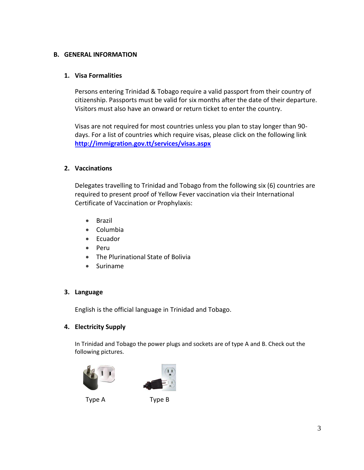#### **B. GENERAL INFORMATION**

#### **1. Visa Formalities**

Persons entering Trinidad & Tobago require a valid passport from their country of citizenship. Passports must be valid for six months after the date of their departure. Visitors must also have an onward or return ticket to enter the country.

Visas are not required for most countries unless you plan to stay longer than 90 days. For a list of countries which require visas, please click on the following link **<http://immigration.gov.tt/services/visas.aspx>**

#### **2. Vaccinations**

Delegates travelling to Trinidad and Tobago from the following six (6) countries are required to present proof of Yellow Fever vaccination via their International Certificate of Vaccination or Prophylaxis:

- Brazil
- Columbia
- Ecuador
- Peru
- The Plurinational State of Bolivia
- Suriname

# **3. Language**

English is the official language in Trinidad and Tobago.

# **4. Electricity Supply**

In Trinidad and Tobago the power plugs and sockets are of type A and B. Check out the following pictures.





Type A Type B